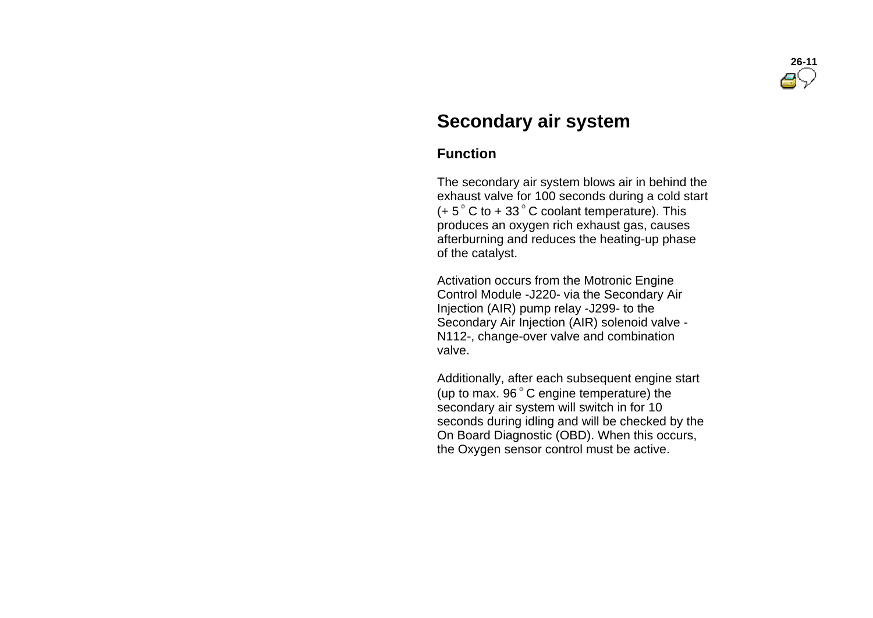

# **Secondary air system**

# **Function**

 The secondary air system blows air in behind the exhaust valve for 100 seconds during a cold start  $(+ 5<sup>°</sup>$  C to + 33<sup>°</sup> C coolant temperature). This produces an oxygen rich exhaust gas, causes afterburning and reduces the heating-up phase of the catalyst.

 Activation occurs from the Motronic Engine Control Module -J220- via the Secondary Air Injection (AIR) pump relay -J299- to the Secondary Air Injection (AIR) solenoid valve - N112-, change-over valve and combination valve.

 Additionally, after each subsequent engine start (up to max.  $96^\circ$  C engine temperature) the secondary air system will switch in for 10 seconds during idling and will be checked by the On Board Diagnostic (OBD). When this occurs, the Oxygen sensor control must be active.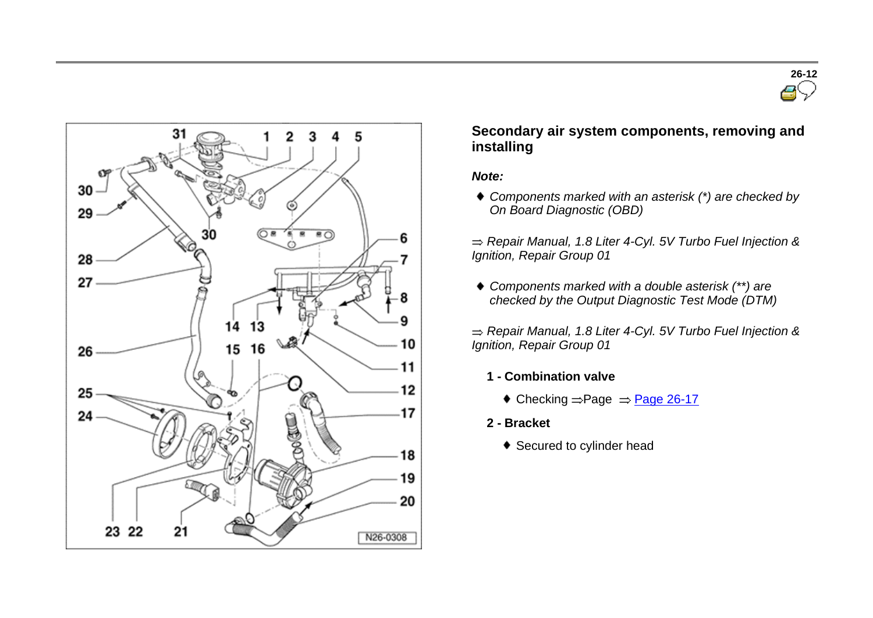



## **Secondary air system components, removing and installing**

#### *Note:*

*Components marked with an asterisk (\*) are checked by On Board Diagnostic (OBD)*

- *Components marked with a double asterisk (\*\*) are checked by the Output Diagnostic Test Mode (DTM)*
- *Repair Manual, 1.8 Liter 4-Cyl. 5V Turbo Fuel Injection & Ignition, Repair Group 01*
	- **1 - Combination valve**
		- $\bullet$  Checking  $=$  Page  $\Rightarrow$  Page 26-17
	- **2 - Bracket**
		- ◆ Secured to cylinder head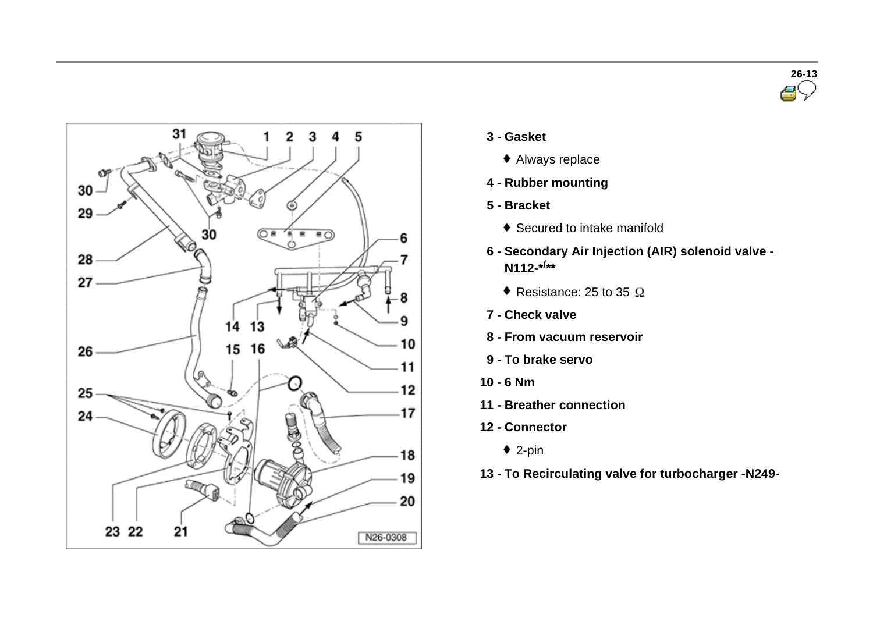



- **3 - Gasket**
	- Always replace
- **4 - Rubber mounting**
- **5 - Bracket**
	- ◆ Secured to intake manifold
- **6 - Secondary Air Injection (AIR) solenoid valve - N112-\*/ \*\***
	- Resistance: 25 to 35  $\Omega$
- **7 - Check valve**
- **8 - From vacuum reservoir**
- **9 - To brake servo**
- **10 - 6 Nm**
- **11 - Breather connection**
- **12 - Connector**
	- $\bullet$  2-pin
- **13 - To Recirculating valve for turbocharger -N249-**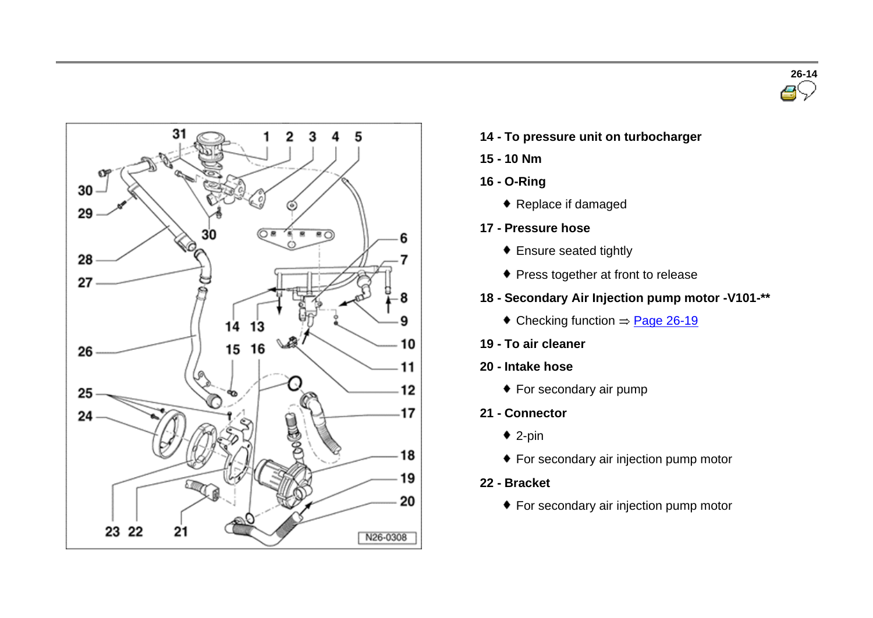



- **14 - To pressure unit on turbocharger**
- **15 - 10 Nm**
- **16 - O-Ring**
	- ◆ Replace if damaged
- **17 - Pressure hose**
	- Ensure seated tightly
	- **+ Press together at front to release**
- **18 - Secondary Air Injection pump motor -V101-\*\***
	- $\bullet$  Checking function  $\Rightarrow$  Page 26-19
- **19 - To air cleaner**
- **20 - Intake hose**
	- For secondary air pump
- **21 - Connector**
	- $\bullet$  2-pin
	- ◆ For secondary air injection pump motor
- **22 - Bracket**
	- For secondary air injection pump motor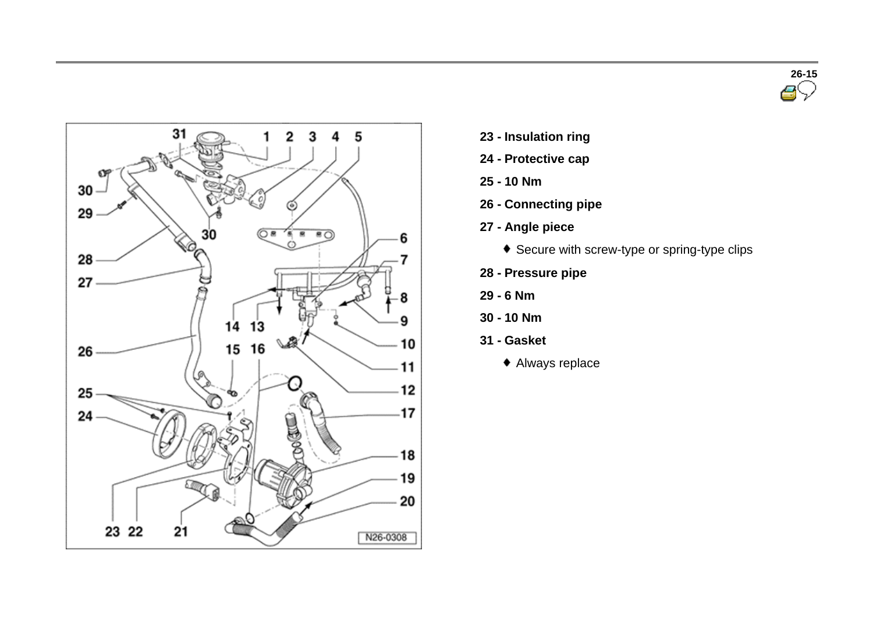



- **23 - Insulation ring**
- **24 - Protective cap**
- **25 - 10 Nm**
- **26 - Connecting pipe**
- **27 - Angle piece**
	- ◆ Secure with screw-type or spring-type clips
- **28 - Pressure pipe**
- **29 - 6 Nm**
- **30 - 10 Nm**
- **31 - Gasket**
	- Always replace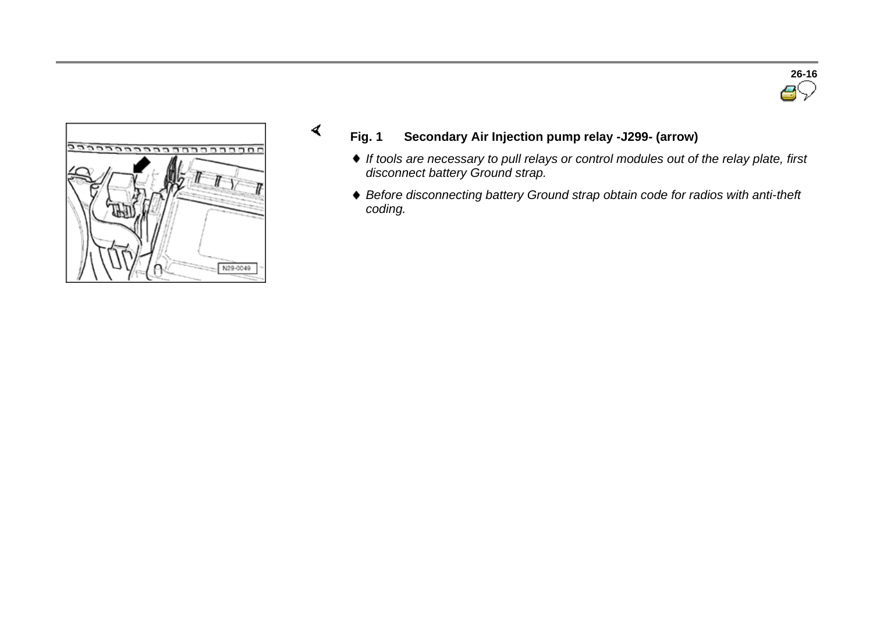



 $\blacktriangleleft$ 

- **Fig. 1 Secondary Air Injection pump relay -J299- (arrow)**
	- *If tools are necessary to pull relays or control modules out of the relay plate, first disconnect battery Ground strap.*
	- *Before disconnecting battery Ground strap obtain code for radios with anti-theft coding.*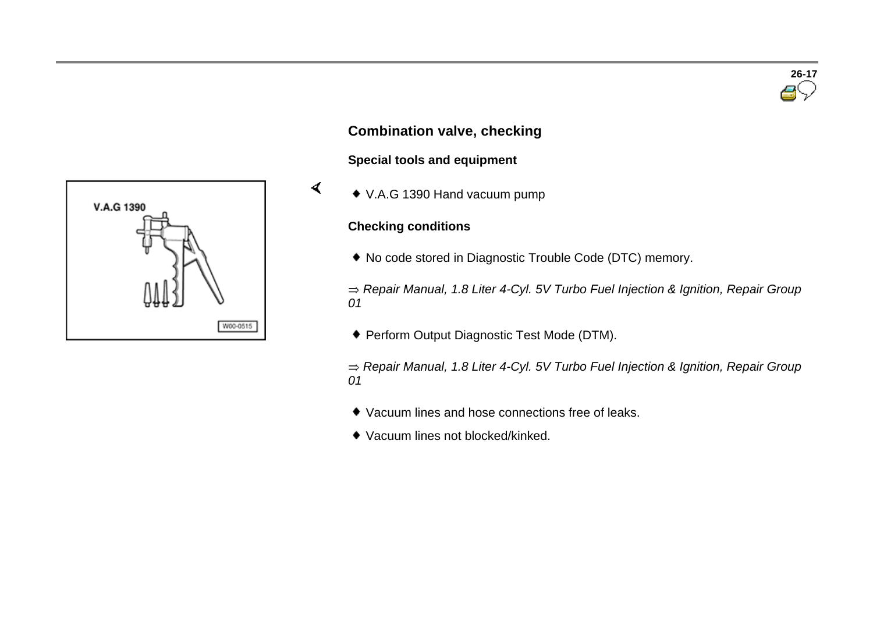

### **Combination valve, checking**

#### **Special tools and equipment**

V.A.G 1390 Hand vacuum pump

#### **Checking conditions**

 $\blacktriangleleft$ 

No code stored in Diagnostic Trouble Code (DTC) memory.

*Repair Manual, 1.8 Liter 4-Cyl. 5V Turbo Fuel Injection & Ignition, Repair Group 01*

Perform Output Diagnostic Test Mode (DTM).

- Vacuum lines and hose connections free of leaks.
- Vacuum lines not blocked/kinked.

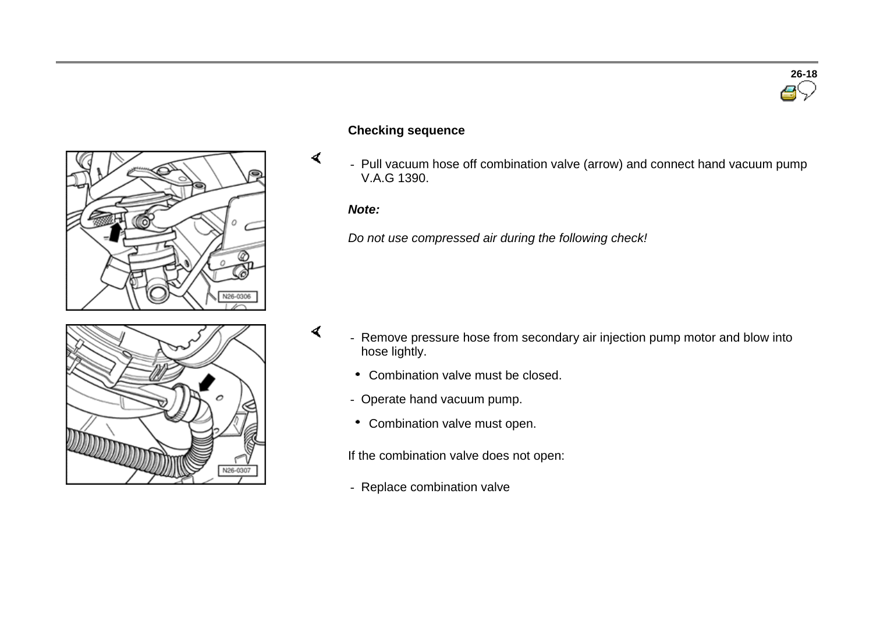



## **Checking sequence**

- Pull vacuum hose off combination valve (arrow) and connect hand vacuum pump V.A.G 1390.

#### *Note:*

 $\blacktriangleleft$ 

 $\blacktriangleleft$ 

*Do not use compressed air during the following check!*



- Remove pressure hose from secondary air injection pump motor and blow into hose lightly.
	- Combination valve must be closed.
	- Operate hand vacuum pump.
	- Combination valve must open.

If the combination valve does not open:

- Replace combination valve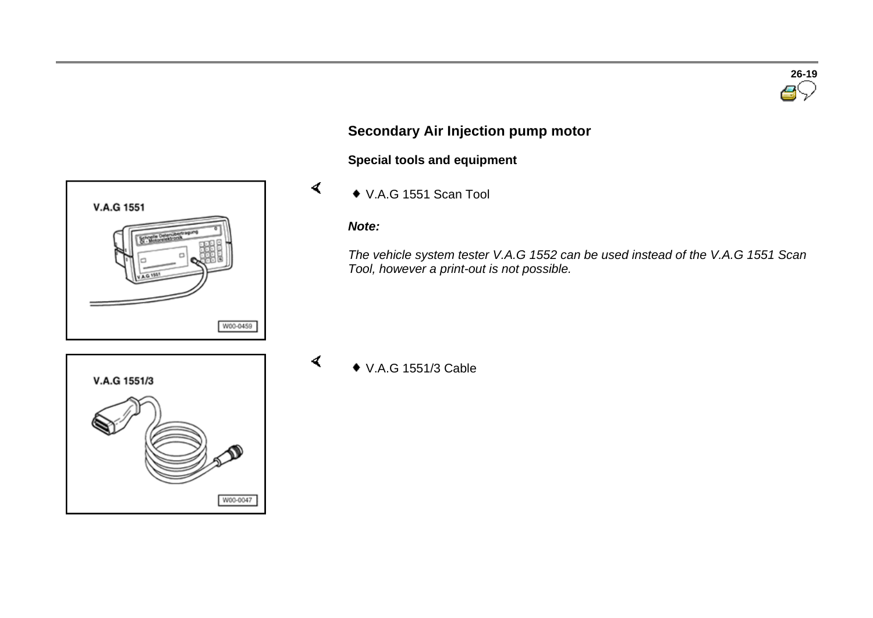

# **Secondary Air Injection pump motor**

**Special tools and equipment** 

V.A.G 1551 Scan Tool

#### *Note:*

 $\blacktriangleleft$ 

 $\blacktriangleleft$ 

*The vehicle system tester V.A.G 1552 can be used instead of the V.A.G 1551 Scan Tool, however a print-out is not possible.*

V.A.G 1551/3 Cable



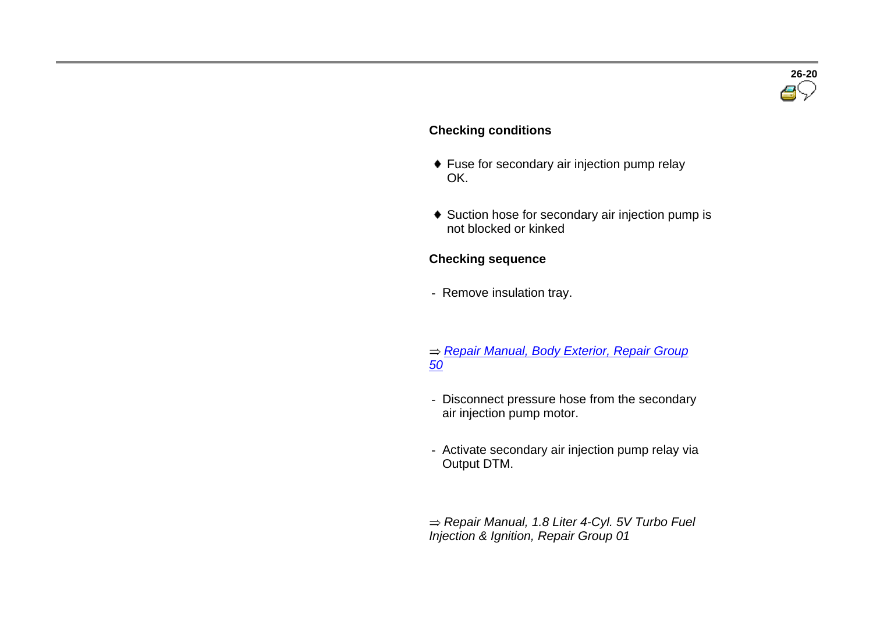

#### **Checking conditions**

- ◆ Fuse for secondary air injection pump relay OK.
- ◆ Suction hose for secondary air injection pump is not blocked or kinked

#### **Checking sequence**

- Remove insulation tray.
- *Repair Manual, Body Exterior, Repair Group 50*
- Disconnect pressure hose from the secondary air injection pump motor.
- Activate secondary air injection pump relay via Output DTM.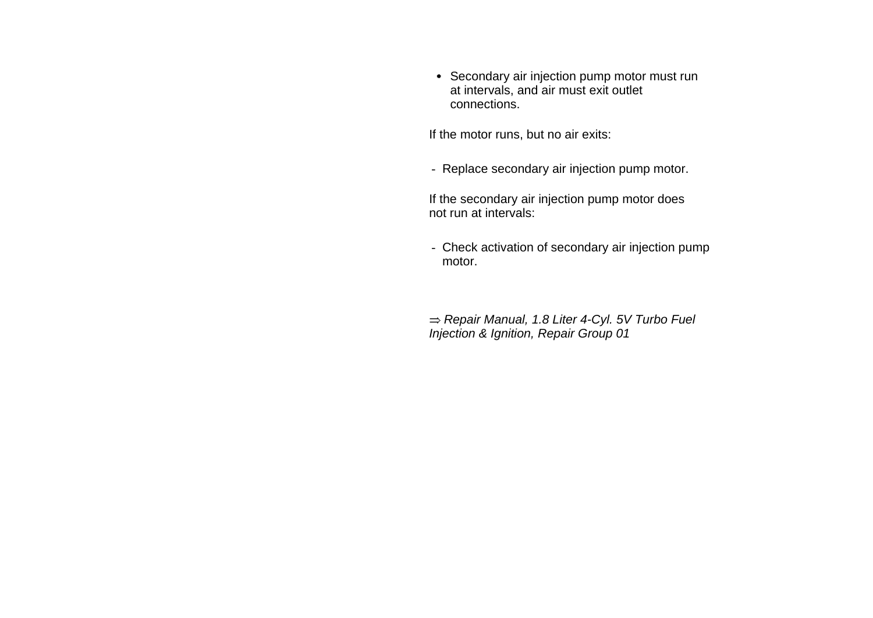Secondary air injection pump motor must run at intervals, and air must exit outlet connections.

If the motor runs, but no air exits:

- Replace secondary air injection pump motor.

 If the secondary air injection pump motor does not run at intervals:

- Check activation of secondary air injection pump motor.